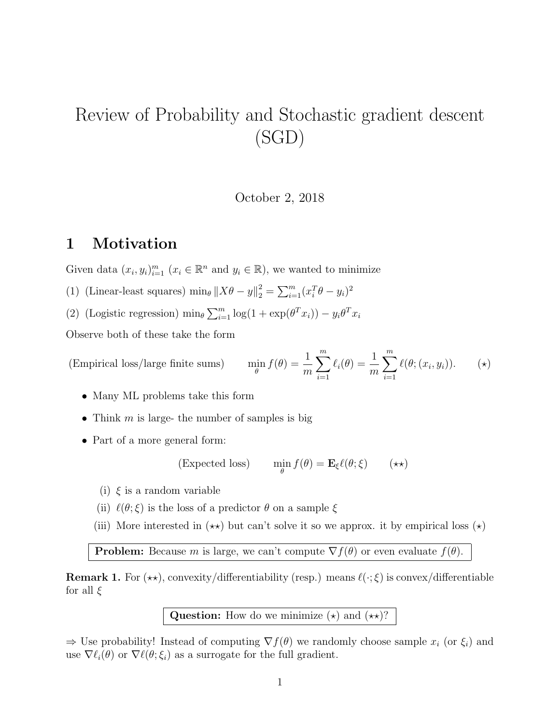# Review of Probability and Stochastic gradient descent (SGD)

October 2, 2018

# 1 Motivation

Given data  $(x_i, y_i)_{i=1}^m$   $(x_i \in \mathbb{R}^n$  and  $y_i \in \mathbb{R}$ , we wanted to minimize

- (1) (Linear-least squares)  $\min_{\theta} ||X\theta y||_2^2 = \sum_{i=1}^m (x_i^T \theta y_i)^2$
- (2) (Logistic regression)  $\min_{\theta} \sum_{i=1}^{m} \log(1 + \exp(\theta^T x_i)) y_i \theta^T x_i$

Observe both of these take the form

(Empirical loss/large finite sums) 
$$
\min_{\theta} f(\theta) = \frac{1}{m} \sum_{i=1}^{m} \ell_i(\theta) = \frac{1}{m} \sum_{i=1}^{m} \ell(\theta; (x_i, y_i)).
$$
 (\*)

- Many ML problems take this form
- Think  $m$  is large- the number of samples is big
- Part of a more general form:

(Expected loss) 
$$
\min_{\theta} f(\theta) = \mathbf{E}_{\xi} \ell(\theta; \xi) \qquad (\star \star)
$$

- (i)  $\xi$  is a random variable
- (ii)  $\ell(\theta; \xi)$  is the loss of a predictor  $\theta$  on a sample  $\xi$
- (iii) More interested in  $(\star \star)$  but can't solve it so we approx. it by empirical loss  $(\star)$

**Problem:** Because m is large, we can't compute  $\nabla f(\theta)$  or even evaluate  $f(\theta)$ .

**Remark 1.** For  $(\star\star)$ , convexity/differentiability (resp.) means  $\ell(\cdot;\xi)$  is convex/differentiable for all  $\xi$ 

Question: How do we minimize  $(\star)$  and  $(\star \star)$ ?

 $\Rightarrow$  Use probability! Instead of computing  $\nabla f(\theta)$  we randomly choose sample  $x_i$  (or  $\xi_i$ ) and use  $\nabla \ell_i(\theta)$  or  $\nabla \ell(\theta; \xi_i)$  as a surrogate for the full gradient.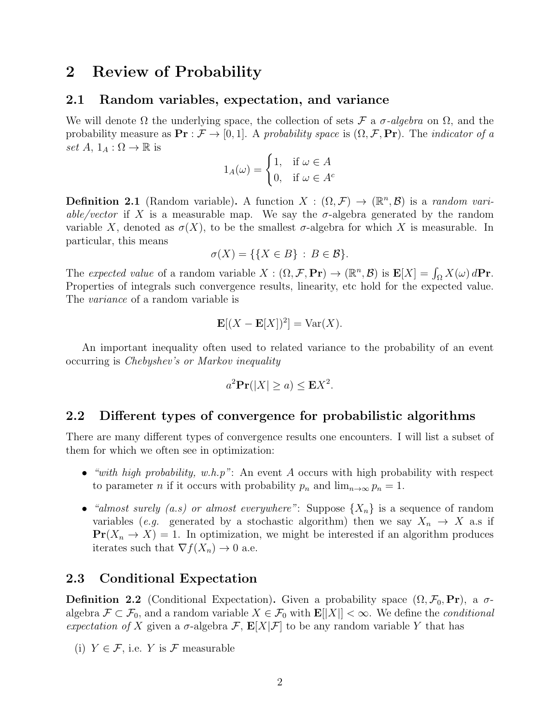# 2 Review of Probability

#### 2.1 Random variables, expectation, and variance

We will denote  $\Omega$  the underlying space, the collection of sets  $\mathcal F$  a  $\sigma$ -algebra on  $\Omega$ , and the probability measure as  $\mathbf{Pr} : \mathcal{F} \to [0, 1]$ . A probability space is  $(\Omega, \mathcal{F}, \mathbf{Pr})$ . The *indicator* of a set  $A, 1_A : \Omega \to \mathbb{R}$  is

$$
1_A(\omega) = \begin{cases} 1, & \text{if } \omega \in A \\ 0, & \text{if } \omega \in A^c \end{cases}
$$

**Definition 2.1** (Random variable). A function  $X : (\Omega, \mathcal{F}) \to (\mathbb{R}^n, \mathcal{B})$  is a random variable/vector if X is a measurable map. We say the  $\sigma$ -algebra generated by the random variable X, denoted as  $\sigma(X)$ , to be the smallest  $\sigma$ -algebra for which X is measurable. In particular, this means

$$
\sigma(X) = \{ \{ X \in B \} : B \in \mathcal{B} \}.
$$

The expected value of a random variable  $X: (\Omega, \mathcal{F}, \mathbf{Pr}) \to (\mathbb{R}^n, \mathcal{B})$  is  $\mathbf{E}[X] = \int_{\Omega} X(\omega) d\mathbf{Pr}$ . Properties of integrals such convergence results, linearity, etc hold for the expected value. The *variance* of a random variable is

$$
\mathbf{E}[(X - \mathbf{E}[X])^2] = \text{Var}(X).
$$

An important inequality often used to related variance to the probability of an event occurring is Chebyshev's or Markov inequality

$$
a^2 \mathbf{Pr}(|X| \ge a) \le \mathbf{E} X^2.
$$

### 2.2 Different types of convergence for probabilistic algorithms

There are many different types of convergence results one encounters. I will list a subset of them for which we often see in optimization:

- "with high probability, w.h.p": An event A occurs with high probability with respect to parameter *n* if it occurs with probability  $p_n$  and  $\lim_{n\to\infty} p_n = 1$ .
- "almost surely (a.s) or almost everywhere": Suppose  $\{X_n\}$  is a sequence of random variables (e.g. generated by a stochastic algorithm) then we say  $X_n \to X$  a.s if  $\Pr(X_n \to X) = 1$ . In optimization, we might be interested if an algorithm produces iterates such that  $\nabla f(X_n) \to 0$  a.e.

## 2.3 Conditional Expectation

**Definition 2.2** (Conditional Expectation). Given a probability space  $(\Omega, \mathcal{F}_0, \textbf{Pr})$ , a  $\sigma$ algebra  $\mathcal{F} \subset \mathcal{F}_0$ , and a random variable  $X \in \mathcal{F}_0$  with  $\mathbf{E}[|X|] < \infty$ . We define the *conditional* expectation of X given a  $\sigma$ -algebra  $\mathcal{F}, \mathbf{E}[X|\mathcal{F}]$  to be any random variable Y that has

(i)  $Y \in \mathcal{F}$ , i.e. Y is  $\mathcal F$  measurable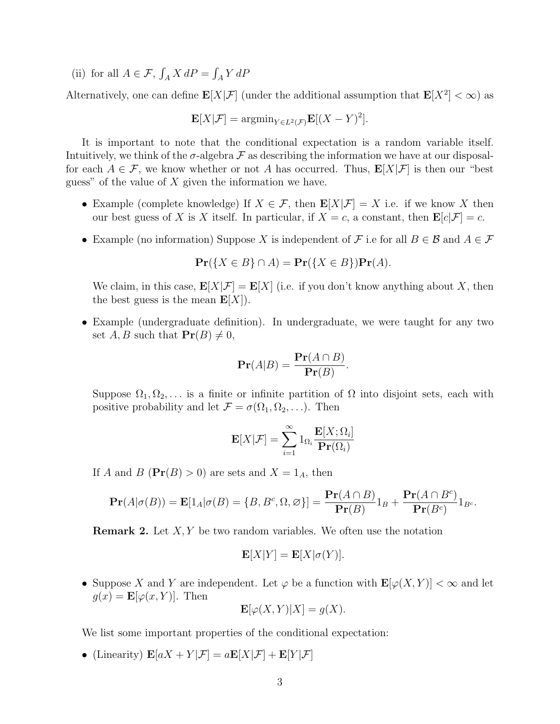(ii) for all  $A \in \mathcal{F}$ ,  $\int_A X dP = \int_A Y dP$ 

Alternatively, one can define  $\mathbf{E}[X|\mathcal{F}]$  (under the additional assumption that  $\mathbf{E}[X^2]<\infty$ ) as

$$
\mathbf{E}[X|\mathcal{F}] = \operatorname{argmin}_{Y \in L^2(\mathcal{F})} \mathbf{E}[(X - Y)^2].
$$

It is important to note that the conditional expectation is a random variable itself. Intuitively, we think of the  $\sigma$ -algebra  $\mathcal F$  as describing the information we have at our disposalfor each  $A \in \mathcal{F}$ , we know whether or not A has occurred. Thus,  $\mathbf{E}[X|\mathcal{F}]$  is then our "best" guess" of the value of  $X$  given the information we have.

- Example (complete knowledge) If  $X \in \mathcal{F}$ , then  $\mathbf{E}[X|\mathcal{F}] = X$  i.e. if we know X then our best guess of X is X itself. In particular, if  $X = c$ , a constant, then  $\mathbf{E}[c|\mathcal{F}] = c$ .
- Example (no information) Suppose X is independent of F i.e for all  $B \in \mathcal{B}$  and  $A \in \mathcal{F}$

$$
\mathbf{Pr}(\{X \in B\} \cap A) = \mathbf{Pr}(\{X \in B\})\mathbf{Pr}(A).
$$

We claim, in this case,  $\mathbf{E}[X|\mathcal{F}] = \mathbf{E}[X]$  (i.e. if you don't know anything about X, then the best guess is the mean  $\mathbf{E}[X]$ .

• Example (undergraduate definition). In undergraduate, we were taught for any two set  $A, B$  such that  $\Pr(B) \neq 0$ ,

$$
\mathbf{Pr}(A|B) = \frac{\mathbf{Pr}(A \cap B)}{\mathbf{Pr}(B)}.
$$

Suppose  $\Omega_1, \Omega_2, \ldots$  is a finite or infinite partition of  $\Omega$  into disjoint sets, each with positive probability and let  $\mathcal{F} = \sigma(\Omega_1, \Omega_2, \ldots)$ . Then

$$
\mathbf{E}[X|\mathcal{F}] = \sum_{i=1}^{\infty} 1_{\Omega_i} \frac{\mathbf{E}[X; \Omega_i]}{\mathbf{Pr}(\Omega_i)}
$$

If A and B  $(\Pr(B) > 0)$  are sets and  $X = 1_A$ , then

$$
\mathbf{Pr}(A|\sigma(B)) = \mathbf{E}[1_A|\sigma(B) = \{B, B^c, \Omega, \varnothing\}] = \frac{\mathbf{Pr}(A \cap B)}{\mathbf{Pr}(B)}1_B + \frac{\mathbf{Pr}(A \cap B^c)}{\mathbf{Pr}(B^c)}1_{B^c}.
$$

**Remark 2.** Let  $X, Y$  be two random variables. We often use the notation

$$
\mathbf{E}[X|Y] = \mathbf{E}[X|\sigma(Y)].
$$

• Suppose X and Y are independent. Let  $\varphi$  be a function with  $\mathbf{E}[\varphi(X, Y)] < \infty$  and let  $g(x) = \mathbf{E}[\varphi(x, Y)].$  Then

$$
\mathbf{E}[\varphi(X,Y)|X] = g(X).
$$

We list some important properties of the conditional expectation:

• (Linearity)  $\mathbf{E}[aX + Y | \mathcal{F}] = a\mathbf{E}[X|\mathcal{F}] + \mathbf{E}[Y|\mathcal{F}]$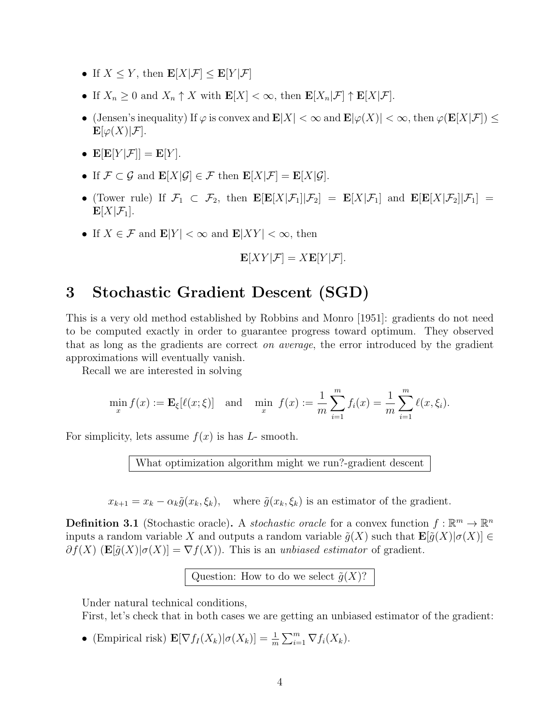- If  $X \leq Y$ , then  $\mathbf{E}[X|\mathcal{F}] \leq \mathbf{E}[Y|\mathcal{F}]$
- If  $X_n \geq 0$  and  $X_n \uparrow X$  with  $\mathbf{E}[X] < \infty$ , then  $\mathbf{E}[X_n|\mathcal{F}] \uparrow \mathbf{E}[X|\mathcal{F}]$ .
- (Jensen's inequality) If  $\varphi$  is convex and  $\mathbf{E}|X| < \infty$  and  $\mathbf{E}|\varphi(X)| < \infty$ , then  $\varphi(\mathbf{E}[X|\mathcal{F}]) \le$  $\mathbf{E}[\varphi(X)|\mathcal{F}].$
- $\mathbf{E}[\mathbf{E}[Y|\mathcal{F}]] = \mathbf{E}[Y].$
- If  $\mathcal{F} \subset \mathcal{G}$  and  $\mathbf{E}[X|\mathcal{G}] \in \mathcal{F}$  then  $\mathbf{E}[X|\mathcal{F}] = \mathbf{E}[X|\mathcal{G}].$
- (Tower rule) If  $\mathcal{F}_1 \subset \mathcal{F}_2$ , then  $\mathbf{E}[\mathbf{E}[X|\mathcal{F}_1]|\mathcal{F}_2] = \mathbf{E}[X|\mathcal{F}_1]$  and  $\mathbf{E}[\mathbf{E}[X|\mathcal{F}_2]|\mathcal{F}_1] =$  $\mathbf{E}[X|\mathcal{F}_1].$
- If  $X \in \mathcal{F}$  and  $\mathbf{E}|Y| < \infty$  and  $\mathbf{E}|XY| < \infty$ , then

$$
\mathbf{E}[XY|\mathcal{F}] = X\mathbf{E}[Y|\mathcal{F}].
$$

# 3 Stochastic Gradient Descent (SGD)

This is a very old method established by Robbins and Monro [1951]: gradients do not need to be computed exactly in order to guarantee progress toward optimum. They observed that as long as the gradients are correct on average, the error introduced by the gradient approximations will eventually vanish.

Recall we are interested in solving

$$
\min_{x} f(x) := \mathbf{E}_{\xi}[\ell(x; \xi)] \text{ and } \min_{x} f(x) := \frac{1}{m} \sum_{i=1}^{m} f_i(x) = \frac{1}{m} \sum_{i=1}^{m} \ell(x, \xi_i).
$$

For simplicity, lets assume  $f(x)$  is has L- smooth.

What optimization algorithm might we run?-gradient descent

 $x_{k+1} = x_k - \alpha_k \tilde{g}(x_k, \xi_k)$ , where  $\tilde{g}(x_k, \xi_k)$  is an estimator of the gradient.

**Definition 3.1** (Stochastic oracle). A *stochastic oracle* for a convex function  $f : \mathbb{R}^m \to \mathbb{R}^n$ inputs a random variable X and outputs a random variable  $\tilde{g}(X)$  such that  $\mathbf{E}[\tilde{g}(X)|\sigma(X)] \in$  $\partial f(X)$  (E[ $\tilde{g}(X)|\sigma(X)$ ] =  $\nabla f(X)$ ). This is an unbiased estimator of gradient.

Question: How to do we select  $\tilde{g}(X)$ ?

Under natural technical conditions,

First, let's check that in both cases we are getting an unbiased estimator of the gradient:

• (Empirical risk)  $\mathbf{E}[\nabla f_I(X_k)|\sigma(X_k)] = \frac{1}{m} \sum_{i=1}^m \nabla f_i(X_k).$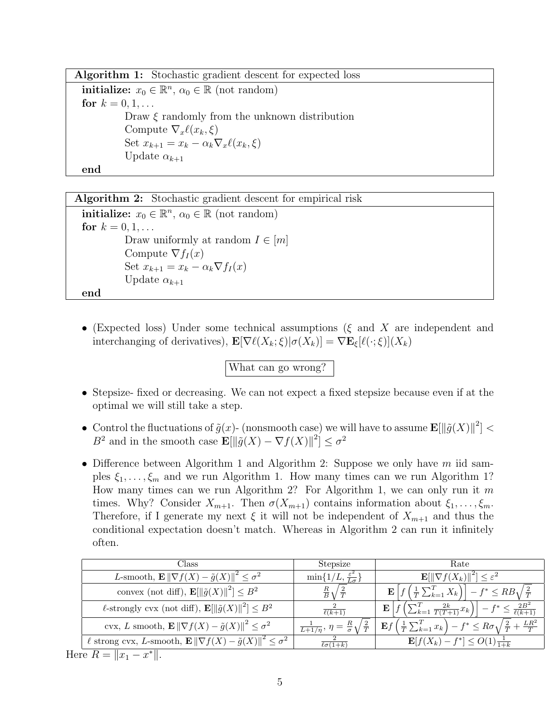Algorithm 1: Stochastic gradient descent for expected loss initialize:  $x_0 \in \mathbb{R}^n$ ,  $\alpha_0 \in \mathbb{R}$  (not random)

for  $k = 0, 1, ...$ Draw  $\xi$  randomly from the unknown distribution Compute  $\nabla_x \ell(x_k, \xi)$ Set  $x_{k+1} = x_k - \alpha_k \nabla_x \ell(x_k, \xi)$ Update  $\alpha_{k+1}$ end

Algorithm 2: Stochastic gradient descent for empirical risk **initialize:**  $x_0 \in \mathbb{R}^n$ ,  $\alpha_0 \in \mathbb{R}$  (not random) for  $k = 0, 1, ...$ Draw uniformly at random  $I \in [m]$ Compute  $\nabla f_I(x)$ Set  $x_{k+1} = x_k - \alpha_k \nabla f_I(x)$ Update  $\alpha_{k+1}$ end

• (Expected loss) Under some technical assumptions ( $\xi$  and X are independent and interchanging of derivatives),  $\mathbf{E}[\nabla \ell(X_k; \xi)|\sigma(X_k)] = \nabla \mathbf{E}_{\xi}[\ell(\cdot; \xi)](X_k)$ 

What can go wrong?

- Stepsize- fixed or decreasing. We can not expect a fixed stepsize because even if at the optimal we will still take a step.
- Control the fluctuations of  $\tilde{g}(x)$  (nonsmooth case) we will have to assume  $\mathbf{E}[\|\tilde{g}(X)\|^2] <$ B<sup>2</sup> and in the smooth case  $\mathbf{E}[\|\tilde{g}(X) - \nabla f(X)\|^2] \leq \sigma^2$
- Difference between Algorithm 1 and Algorithm 2: Suppose we only have  $m$  iid samples  $\xi_1, \ldots, \xi_m$  and we run Algorithm 1. How many times can we run Algorithm 1? How many times can we run Algorithm 2? For Algorithm 1, we can only run it m times. Why? Consider  $X_{m+1}$ . Then  $\sigma(X_{m+1})$  contains information about  $\xi_1, \ldots, \xi_m$ . Therefore, if I generate my next  $\xi$  it will not be independent of  $X_{m+1}$  and thus the conditional expectation doesn't match. Whereas in Algorithm 2 can run it infinitely often.

| Class                                                                               | Stepsize                                                         | Rate                                                                                                               |
|-------------------------------------------------------------------------------------|------------------------------------------------------------------|--------------------------------------------------------------------------------------------------------------------|
| L-smooth, $\mathbf{E} \ \nabla f(X) - \tilde{g}(X)\ ^2 \leq \sigma^2$               | $\min\{1/L, \frac{\varepsilon^2}{L\sigma}\}\$                    | $\mathbf{E}[\ \nabla f(X_k)\ ^2] \leq \varepsilon^2$                                                               |
| convex (not diff), $\mathbf{E}[\ \tilde{g}(X)\ ^2] \leq B^2$                        | $rac{R}{B}$<br>$\frac{2}{T}$                                     | $f-f^*\leq RB\sqrt{\frac{2}{T}}$<br>$\left(\frac{1}{T}\sum_{k=1}^{T}X_k\right)$<br>$\mathbf{E}$                    |
| $\ell$ -strongly cvx (not diff), $\mathbf{E}[\ \tilde{g}(X)\ ^2] \leq B^2$          | $\overline{\ell(k+1)}$                                           | $-f^* \leq \frac{2B^2}{\ell(k+1)}$<br>$\sum_{k=1}^T \frac{2k}{T(T+1)} x_k$<br>$\mathbf{E}$                         |
| cvx, L smooth, $\mathbf{E} \ \nabla f(X) - \tilde{g}(X)\ ^2 \leq \sigma^2$          | $\frac{1}{L+1/\eta}, \eta = \frac{R}{\sigma} \sqrt{\frac{2}{T}}$ | $\left(\frac{1}{T}\sum_{k=1}^T x_k\right) - f^* \leq R\sigma\sqrt{\frac{2}{T} + \frac{LR^2}{T}}$<br>$\mathbf{E} f$ |
| l strong cvx, L-smooth, $\mathbf{E} \ \nabla f(X) - \tilde{g}(X)\ ^2 \leq \sigma^2$ | $\ell\sigma(1+k)$                                                | $\mathbf{E}[f(X_k) - f^*] \leq O(1) \frac{1}{1+k}$                                                                 |
| $\Pr Q =   r  = r^*  $                                                              |                                                                  |                                                                                                                    |

Here  $R = ||x_1 - x^*||$ .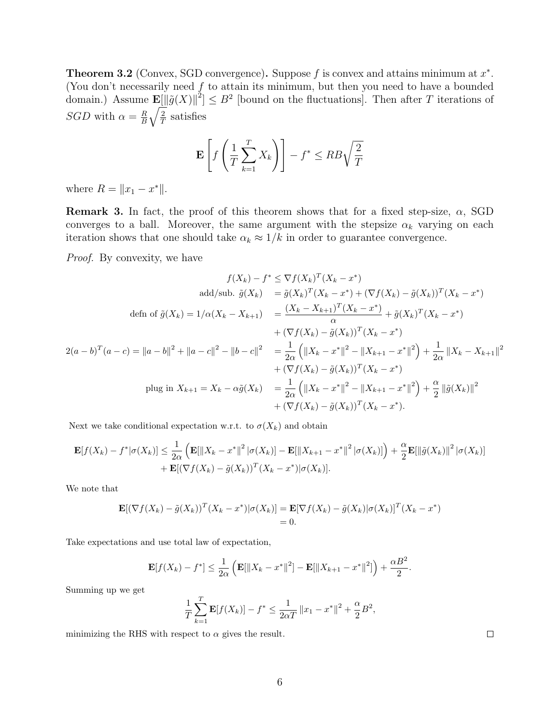**Theorem 3.2** (Convex, SGD convergence). Suppose f is convex and attains minimum at  $x^*$ . (You don't necessarily need  $f$  to attain its minimum, but then you need to have a bounded domain.) Assume  $\mathbf{E}[\|\tilde{g}(X)\|^2] \leq B^2$  [bound on the fluctuations]. Then after T iterations of SGD with  $\alpha = \frac{R}{B}$ B  $\sqrt{2}$  $\frac{2}{T}$  satisfies

$$
\mathbf{E}\left[f\left(\frac{1}{T}\sum_{k=1}^{T}X_k\right)\right] - f^* \leq RB\sqrt{\frac{2}{T}}
$$

where  $R = ||x_1 - x^*||$ .

**Remark 3.** In fact, the proof of this theorem shows that for a fixed step-size,  $\alpha$ , SGD converges to a ball. Moreover, the same argument with the stepsize  $\alpha_k$  varying on each iteration shows that one should take  $\alpha_k \approx 1/k$  in order to guarantee convergence.

Proof. By convexity, we have

$$
f(X_k) - f^* \leq \nabla f(X_k)^T (X_k - x^*)
$$
  
\nadd/sub.  $\tilde{g}(X_k) = \tilde{g}(X_k)^T (X_k - x^*) + (\nabla f(X_k) - \tilde{g}(X_k))^T (X_k - x^*)$   
\n
$$
\text{defn of } \tilde{g}(X_k) = 1/\alpha(X_k - X_{k+1}) = \frac{(X_k - X_{k+1})^T (X_k - x^*)}{\alpha} + \tilde{g}(X_k)^T (X_k - x^*)
$$
\n
$$
+ (\nabla f(X_k) - \tilde{g}(X_k))^T (X_k - x^*)
$$
\n
$$
2(a - b)^T (a - c) = ||a - b||^2 + ||a - c||^2 - ||b - c||^2 = \frac{1}{2\alpha} (||X_k - x^*||^2 - ||X_{k+1} - x^*||^2) + \frac{1}{2\alpha} ||X_k - X_{k+1}||^2
$$
\n
$$
+ (\nabla f(X_k) - \tilde{g}(X_k))^T (X_k - x^*)
$$
\n
$$
\text{plug in } X_{k+1} = X_k - \alpha \tilde{g}(X_k) = \frac{1}{2\alpha} (||X_k - x^*||^2 - ||X_{k+1} - x^*||^2) + \frac{\alpha}{2} ||\tilde{g}(X_k)||^2
$$
\n
$$
+ (\nabla f(X_k) - \tilde{g}(X_k))^T (X_k - x^*).
$$

Next we take conditional expectation w.r.t. to  $\sigma(X_k)$  and obtain

$$
\mathbf{E}[f(X_k) - f^* | \sigma(X_k)] \leq \frac{1}{2\alpha} \left( \mathbf{E}[\|X_k - x^*\|^2 | \sigma(X_k)] - \mathbf{E}[\|X_{k+1} - x^*\|^2 | \sigma(X_k)] \right) + \frac{\alpha}{2} \mathbf{E}[\|\tilde{g}(X_k)\|^2 | \sigma(X_k)] + \mathbf{E}[(\nabla f(X_k) - \tilde{g}(X_k))^T (X_k - x^*) | \sigma(X_k)].
$$

We note that

$$
\mathbf{E}[(\nabla f(X_k) - \tilde{g}(X_k))^T (X_k - x^*) | \sigma(X_k)] = \mathbf{E}[\nabla f(X_k) - \tilde{g}(X_k) | \sigma(X_k)]^T (X_k - x^*)
$$
  
= 0.

Take expectations and use total law of expectation,

$$
\mathbf{E}[f(X_k) - f^*] \le \frac{1}{2\alpha} \left( \mathbf{E}[\|X_k - x^*\|^2] - \mathbf{E}[\|X_{k+1} - x^*\|^2] \right) + \frac{\alpha B^2}{2}.
$$

Summing up we get

$$
\frac{1}{T}\sum_{k=1}^{T}\mathbf{E}[f(X_k)] - f^* \le \frac{1}{2\alpha T} ||x_1 - x^*||^2 + \frac{\alpha}{2}B^2,
$$

minimizing the RHS with respect to  $\alpha$  gives the result.

 $\Box$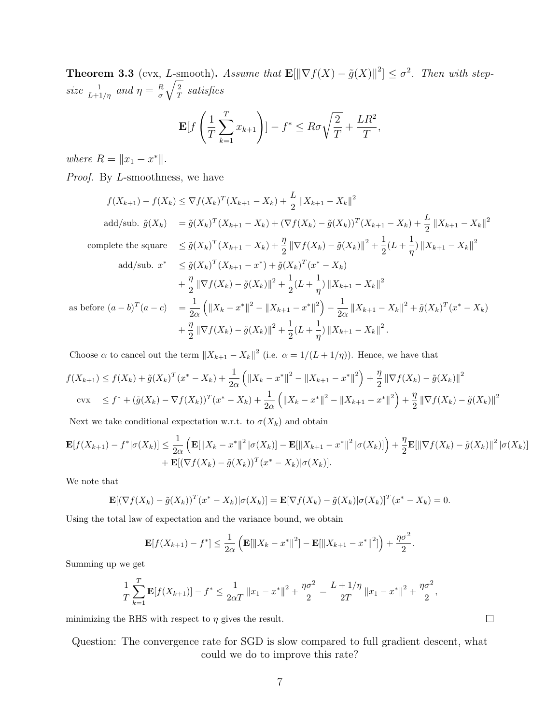**Theorem 3.3** (cvx, L-smooth). Assume that  $\mathbf{E}[\|\nabla f(X) - \tilde{g}(X)\|^2] \leq \sigma^2$ . Then with stepsize  $\frac{1}{L+1/\eta}$  and  $\eta = \frac{R}{\sigma}$ σ  $\sqrt{2}$  $\frac{2}{T}$  satisfies

$$
\mathbf{E}[f\left(\frac{1}{T}\sum_{k=1}^T x_{k+1}\right)] - f^* \leq R\sigma\sqrt{\frac{2}{T}} + \frac{LR^2}{T},
$$

where  $R = ||x_1 - x^*||$ .

Proof. By L-smoothness, we have

$$
f(X_{k+1}) - f(X_k) \le \nabla f(X_k)^T (X_{k+1} - X_k) + \frac{L}{2} ||X_{k+1} - X_k||^2
$$
  
\nadd/sub.  $\tilde{g}(X_k) = \tilde{g}(X_k)^T (X_{k+1} - X_k) + (\nabla f(X_k) - \tilde{g}(X_k))^T (X_{k+1} - X_k) + \frac{L}{2} ||X_{k+1} - X_k||^2$   
\ncomplete the square  $\le \tilde{g}(X_k)^T (X_{k+1} - X_k) + \frac{\eta}{2} ||\nabla f(X_k) - \tilde{g}(X_k)||^2 + \frac{1}{2} (L + \frac{1}{\eta}) ||X_{k+1} - X_k||^2$   
\nadd/sub.  $x^* \le \tilde{g}(X_k)^T (X_{k+1} - x^*) + \tilde{g}(X_k)^T (x^* - X_k)$   
\n $+ \frac{\eta}{2} ||\nabla f(X_k) - \tilde{g}(X_k)||^2 + \frac{1}{2} (L + \frac{1}{\eta}) ||X_{k+1} - X_k||^2$   
\nbefore  $(a - b)^T (a - c) = \frac{1}{2\alpha} (||X_k - x^*||^2 - ||X_{k+1} - x^*||^2) - \frac{1}{2\alpha} ||X_{k+1} - X_k||^2 + \tilde{g}(X_k)^T (x^* - X_k) + \frac{\eta}{2} ||\nabla f(X_k) - \tilde{g}(X_k)||^2 + \frac{1}{2} (L + \frac{1}{\eta}) ||X_{k+1} - X_k||^2.$ 

Choose  $\alpha$  to cancel out the term  $||X_{k+1} - X_k||^2$  (i.e.  $\alpha = 1/(L + 1/\eta)$ ). Hence, we have that

$$
f(X_{k+1}) \le f(X_k) + \tilde{g}(X_k)^T (x^* - X_k) + \frac{1}{2\alpha} \left( \|X_k - x^*\|^2 - \|X_{k+1} - x^*\|^2 \right) + \frac{\eta}{2} \|\nabla f(X_k) - \tilde{g}(X_k)\|^2
$$
  
cvx  $\le f^* + (\tilde{g}(X_k) - \nabla f(X_k))^T (x^* - X_k) + \frac{1}{2\alpha} \left( \|X_k - x^*\|^2 - \|X_{k+1} - x^*\|^2 \right) + \frac{\eta}{2} \|\nabla f(X_k) - \tilde{g}(X_k)\|^2$ 

Next we take conditional expectation w.r.t. to  $\sigma(X_k)$  and obtain

$$
\mathbf{E}[f(X_{k+1}) - f^*|\sigma(X_k)] \leq \frac{1}{2\alpha} \left( \mathbf{E}[\|X_k - x^*\|^2 |\sigma(X_k)] - \mathbf{E}[\|X_{k+1} - x^*\|^2 |\sigma(X_k)] \right) + \frac{\eta}{2} \mathbf{E}[\|\nabla f(X_k) - \tilde{g}(X_k)\|^2 |\sigma(X_k)] + \mathbf{E}[(\nabla f(X_k) - \tilde{g}(X_k))^T (x^* - X_k) |\sigma(X_k)].
$$

We note that

 $\rm as$ 

$$
\mathbf{E}[(\nabla f(X_k) - \tilde{g}(X_k))^T (x^* - X_k)|\sigma(X_k)] = \mathbf{E}[\nabla f(X_k) - \tilde{g}(X_k)|\sigma(X_k)]^T (x^* - X_k) = 0.
$$

Using the total law of expectation and the variance bound, we obtain

$$
\mathbf{E}[f(X_{k+1}) - f^*] \le \frac{1}{2\alpha} \left( \mathbf{E}[\|X_k - x^*\|^2] - \mathbf{E}[\|X_{k+1} - x^*\|^2] \right) + \frac{\eta \sigma^2}{2}.
$$

Summing up we get

$$
\frac{1}{T}\sum_{k=1}^{T}\mathbf{E}[f(X_{k+1})] - f^* \le \frac{1}{2\alpha T} ||x_1 - x^*||^2 + \frac{\eta\sigma^2}{2} = \frac{L + 1/\eta}{2T} ||x_1 - x^*||^2 + \frac{\eta\sigma^2}{2},
$$

minimizing the RHS with respect to  $\eta$  gives the result.

Question: The convergence rate for SGD is slow compared to full gradient descent, what could we do to improve this rate?

 $\Box$